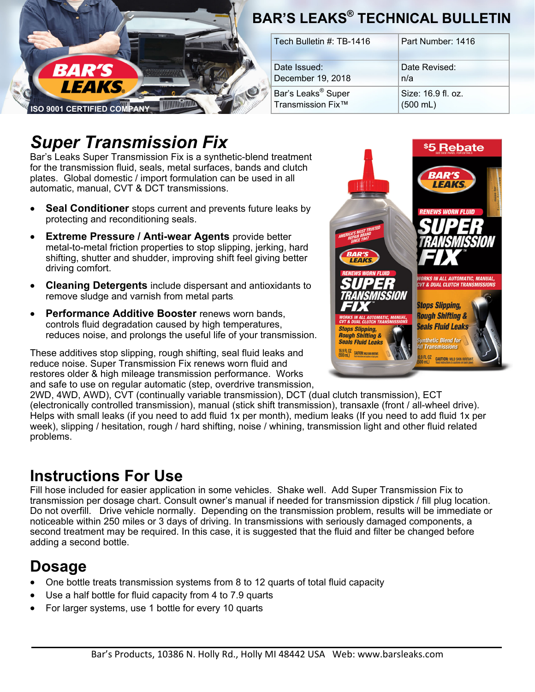

# *Super Transmission Fix*

Bar's Leaks Super Transmission Fix is a synthetic-blend treatment for the transmission fluid, seals, metal surfaces, bands and clutch plates. Global domestic / import formulation can be used in all automatic, manual, CVT & DCT transmissions.

- **Seal Conditioner** stops current and prevents future leaks by protecting and reconditioning seals.
- **Extreme Pressure / Anti-wear Agents** provide better metal-to-metal friction properties to stop slipping, jerking, hard shifting, shutter and shudder, improving shift feel giving better driving comfort.
- **Cleaning Detergents** include dispersant and antioxidants to remove sludge and varnish from metal parts.
- **Performance Additive Booster** renews worn bands, controls fluid degradation caused by high temperatures, reduces noise, and prolongs the useful life of your transmission.

These additives stop slipping, rough shifting, seal fluid leaks and reduce noise. Super Transmission Fix renews worn fluid and restores older & high mileage transmission performance. Works and safe to use on regular automatic (step, overdrive transmission,



2WD, 4WD, AWD), CVT (continually variable transmission), DCT (dual clutch transmission), ECT (electronically controlled transmission), manual (stick shift transmission), transaxle (front / all-wheel drive). Helps with small leaks (if you need to add fluid 1x per month), medium leaks (If you need to add fluid 1x per week), slipping / hesitation, rough / hard shifting, noise / whining, transmission light and other fluid related problems.

### **Instructions For Use**

Fill hose included for easier application in some vehicles. Shake well. Add Super Transmission Fix to transmission per dosage chart. Consult owner's manual if needed for transmission dipstick / fill plug location. Do not overfill. Drive vehicle normally. Depending on the transmission problem, results will be immediate or noticeable within 250 miles or 3 days of driving. In transmissions with seriously damaged components, a second treatment may be required. In this case, it is suggested that the fluid and filter be changed before adding a second bottle.

### **Dosage**

- One bottle treats transmission systems from 8 to 12 quarts of total fluid capacity
- Use a half bottle for fluid capacity from 4 to 7.9 quarts
- For larger systems, use 1 bottle for every 10 quarts

# Page 1 **BAR'S LEAKS® TECHNICAL BULLETIN**

| Tech Bulletin #: TB-1416       | Part Number: 1416    |
|--------------------------------|----------------------|
| Date Issued:                   | Date Revised:        |
| December 19, 2018              | n/a                  |
| Bar's Leaks <sup>®</sup> Super | Size: 16.9 fl. oz.   |
| Transmission Fix™              | $(500 \, \text{mL})$ |